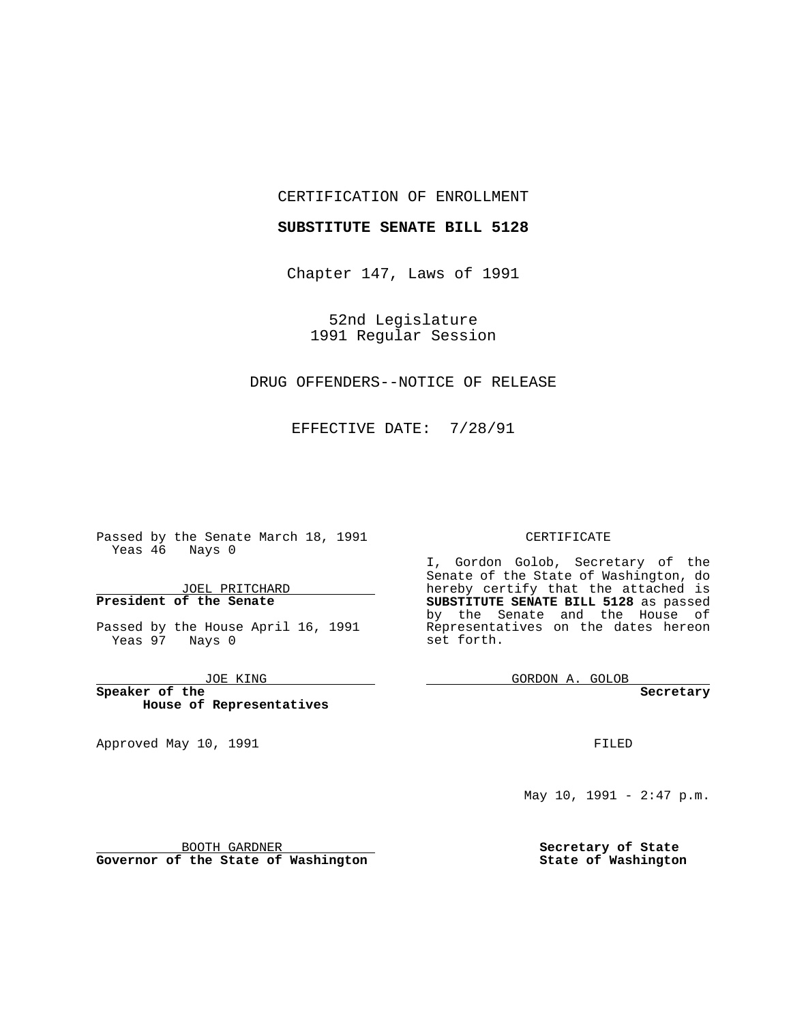### CERTIFICATION OF ENROLLMENT

### **SUBSTITUTE SENATE BILL 5128**

Chapter 147, Laws of 1991

52nd Legislature 1991 Regular Session

## DRUG OFFENDERS--NOTICE OF RELEASE

EFFECTIVE DATE: 7/28/91

 $\overline{\phantom{a}}$ 

Passed by the Senate March 18, 1991 Yeas 46 Nays 0

JOEL PRITCHARD **President of the Senate**

Passed by the House April 16, 1991 Yeas 97 Nays 0

JOE KING

**Speaker of the House of Representatives**

Approved May 10, 1991

#### CERTIFICATE

I, Gordon Golob, Secretary of the Senate of the State of Washington, do hereby certify that the attached is **SUBSTITUTE SENATE BILL 5128** as passed by the Senate and the House of Representatives on the dates hereon set forth.

GORDON A. GOLOB

**Secretary**

FILED

May 10, 1991 - 2:47 p.m.

**Secretary of State State of Washington**

BOOTH GARDNER **Governor of the State of Washington**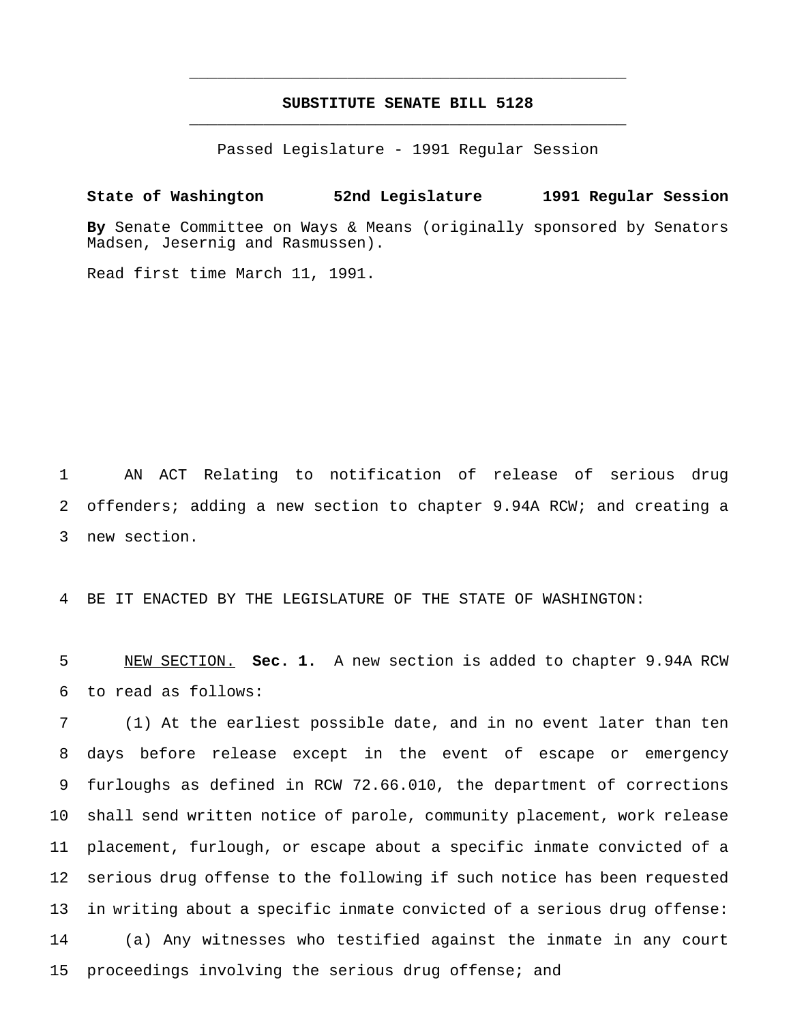# **SUBSTITUTE SENATE BILL 5128** \_\_\_\_\_\_\_\_\_\_\_\_\_\_\_\_\_\_\_\_\_\_\_\_\_\_\_\_\_\_\_\_\_\_\_\_\_\_\_\_\_\_\_\_\_\_\_

\_\_\_\_\_\_\_\_\_\_\_\_\_\_\_\_\_\_\_\_\_\_\_\_\_\_\_\_\_\_\_\_\_\_\_\_\_\_\_\_\_\_\_\_\_\_\_

Passed Legislature - 1991 Regular Session

**State of Washington 52nd Legislature 1991 Regular Session By** Senate Committee on Ways & Means (originally sponsored by Senators Madsen, Jesernig and Rasmussen).

Read first time March 11, 1991.

 AN ACT Relating to notification of release of serious drug offenders; adding a new section to chapter 9.94A RCW; and creating a new section.

BE IT ENACTED BY THE LEGISLATURE OF THE STATE OF WASHINGTON:

 NEW SECTION. **Sec. 1.** A new section is added to chapter 9.94A RCW to read as follows:

 (1) At the earliest possible date, and in no event later than ten days before release except in the event of escape or emergency furloughs as defined in RCW 72.66.010, the department of corrections shall send written notice of parole, community placement, work release placement, furlough, or escape about a specific inmate convicted of a serious drug offense to the following if such notice has been requested in writing about a specific inmate convicted of a serious drug offense: (a) Any witnesses who testified against the inmate in any court proceedings involving the serious drug offense; and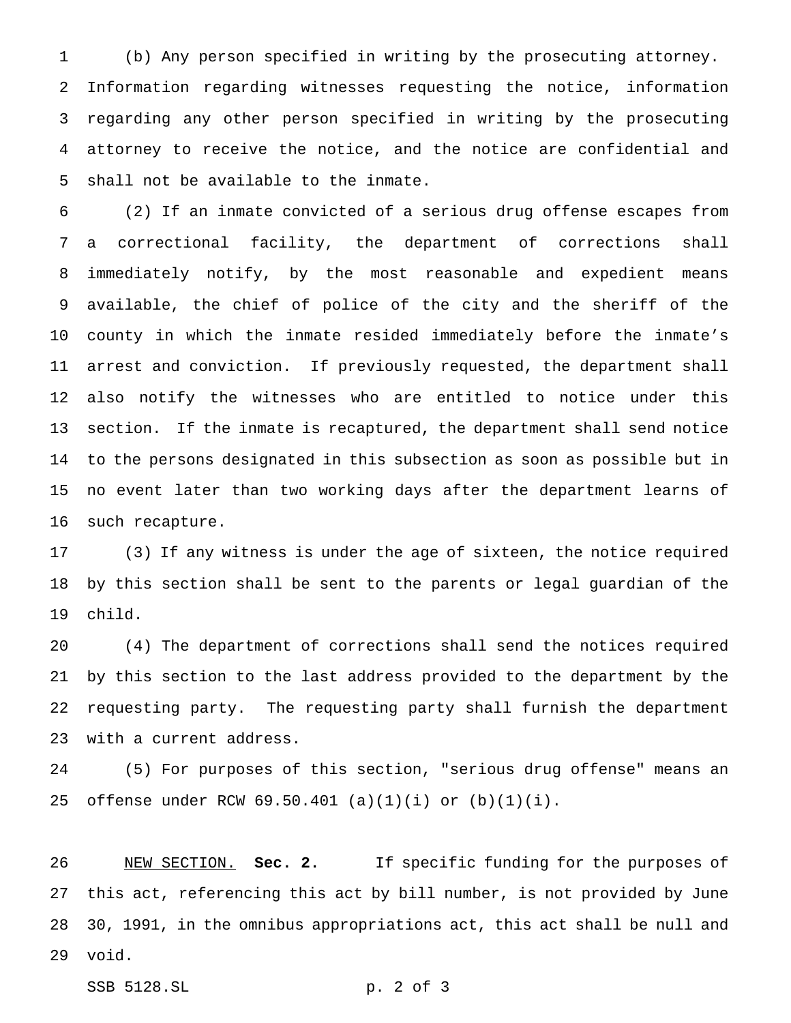(b) Any person specified in writing by the prosecuting attorney. Information regarding witnesses requesting the notice, information regarding any other person specified in writing by the prosecuting attorney to receive the notice, and the notice are confidential and shall not be available to the inmate.

 (2) If an inmate convicted of a serious drug offense escapes from a correctional facility, the department of corrections shall immediately notify, by the most reasonable and expedient means available, the chief of police of the city and the sheriff of the county in which the inmate resided immediately before the inmate's arrest and conviction. If previously requested, the department shall also notify the witnesses who are entitled to notice under this section. If the inmate is recaptured, the department shall send notice to the persons designated in this subsection as soon as possible but in no event later than two working days after the department learns of such recapture.

 (3) If any witness is under the age of sixteen, the notice required by this section shall be sent to the parents or legal guardian of the child.

 (4) The department of corrections shall send the notices required by this section to the last address provided to the department by the requesting party. The requesting party shall furnish the department with a current address.

 (5) For purposes of this section, "serious drug offense" means an offense under RCW 69.50.401 (a)(1)(i) or (b)(1)(i).

 NEW SECTION. **Sec. 2.** If specific funding for the purposes of this act, referencing this act by bill number, is not provided by June 30, 1991, in the omnibus appropriations act, this act shall be null and void.

SSB 5128.SL p. 2 of 3